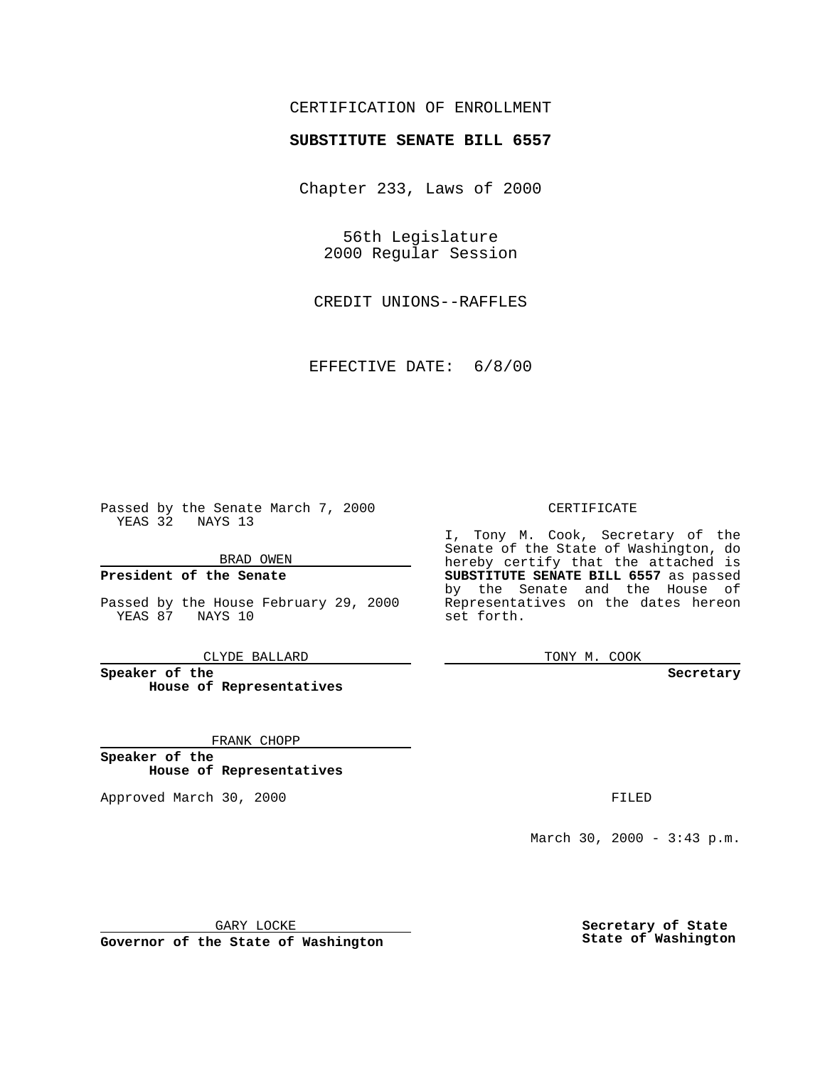## CERTIFICATION OF ENROLLMENT

# **SUBSTITUTE SENATE BILL 6557**

Chapter 233, Laws of 2000

56th Legislature 2000 Regular Session

CREDIT UNIONS--RAFFLES

EFFECTIVE DATE: 6/8/00

Passed by the Senate March 7, 2000 YEAS 32 NAYS 13

#### BRAD OWEN

#### **President of the Senate**

Passed by the House February 29, 2000 YEAS 87 NAYS 10

CLYDE BALLARD

**Speaker of the House of Representatives**

FRANK CHOPP

**Speaker of the House of Representatives**

Approved March 30, 2000 FILED

#### CERTIFICATE

I, Tony M. Cook, Secretary of the Senate of the State of Washington, do hereby certify that the attached is **SUBSTITUTE SENATE BILL 6557** as passed by the Senate and the House of Representatives on the dates hereon set forth.

TONY M. COOK

#### **Secretary**

March 30, 2000 - 3:43 p.m.

GARY LOCKE

**Governor of the State of Washington**

**Secretary of State State of Washington**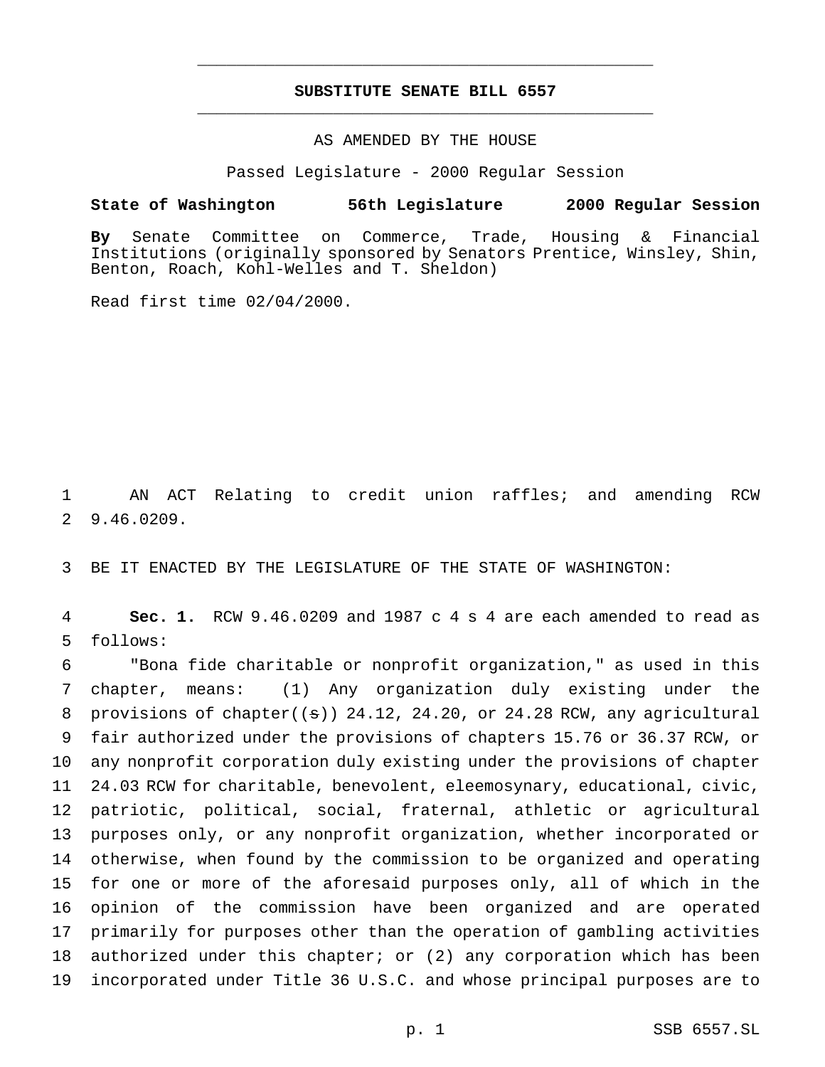## **SUBSTITUTE SENATE BILL 6557** \_\_\_\_\_\_\_\_\_\_\_\_\_\_\_\_\_\_\_\_\_\_\_\_\_\_\_\_\_\_\_\_\_\_\_\_\_\_\_\_\_\_\_\_\_\_\_

\_\_\_\_\_\_\_\_\_\_\_\_\_\_\_\_\_\_\_\_\_\_\_\_\_\_\_\_\_\_\_\_\_\_\_\_\_\_\_\_\_\_\_\_\_\_\_

### AS AMENDED BY THE HOUSE

Passed Legislature - 2000 Regular Session

#### **State of Washington 56th Legislature 2000 Regular Session**

**By** Senate Committee on Commerce, Trade, Housing & Financial Institutions (originally sponsored by Senators Prentice, Winsley, Shin, Benton, Roach, Kohl-Welles and T. Sheldon)

Read first time 02/04/2000.

1 AN ACT Relating to credit union raffles; and amending RCW 2 9.46.0209.

3 BE IT ENACTED BY THE LEGISLATURE OF THE STATE OF WASHINGTON:

4 **Sec. 1.** RCW 9.46.0209 and 1987 c 4 s 4 are each amended to read as 5 follows:

 "Bona fide charitable or nonprofit organization," as used in this chapter, means: (1) Any organization duly existing under the 8 provisions of chapter $((s))$  24.12, 24.20, or 24.28 RCW, any agricultural fair authorized under the provisions of chapters 15.76 or 36.37 RCW, or any nonprofit corporation duly existing under the provisions of chapter 24.03 RCW for charitable, benevolent, eleemosynary, educational, civic, patriotic, political, social, fraternal, athletic or agricultural purposes only, or any nonprofit organization, whether incorporated or otherwise, when found by the commission to be organized and operating for one or more of the aforesaid purposes only, all of which in the opinion of the commission have been organized and are operated primarily for purposes other than the operation of gambling activities authorized under this chapter; or (2) any corporation which has been incorporated under Title 36 U.S.C. and whose principal purposes are to